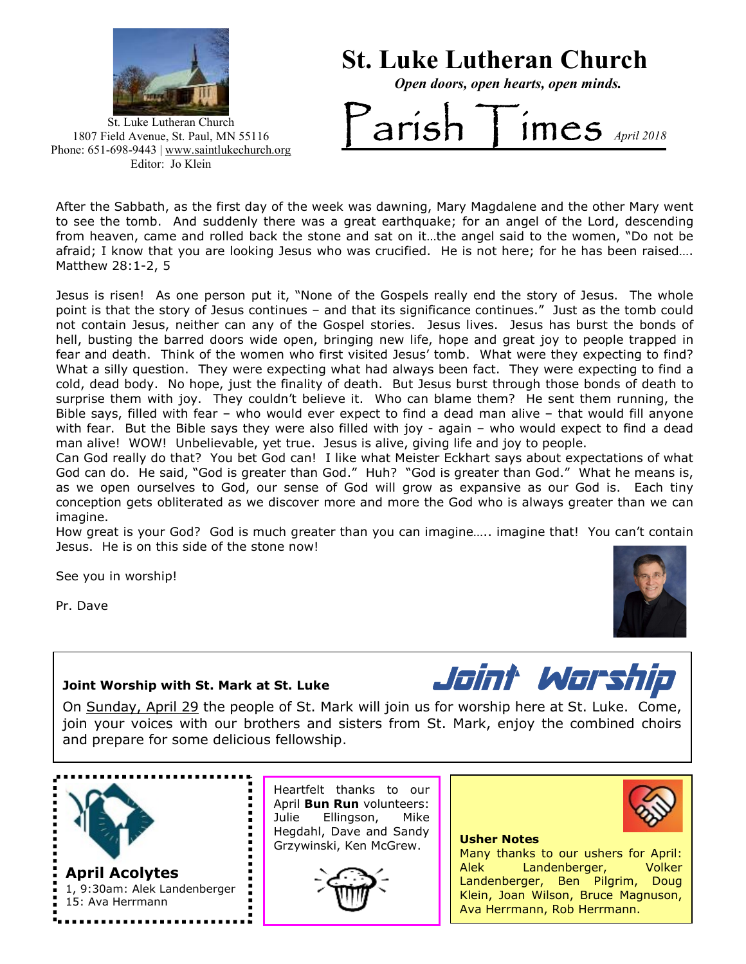

St. Luke Lutheran Church

Open doors, open hearts, open minds.

St. Luke Lutheran Church 1807 Field Avenue, St. Paul, MN 55116 Phone: 651-698-9443 | www.saintlukechurch.org Editor: Jo Klein

# $arish$  Times  $_{April 2018}$

 After the Sabbath, as the first day of the week was dawning, Mary Magdalene and the other Mary went to see the tomb. And suddenly there was a great earthquake; for an angel of the Lord, descending from heaven, came and rolled back the stone and sat on it…the angel said to the women, "Do not be afraid; I know that you are looking Jesus who was crucified. He is not here; for he has been raised…. Matthew 28:1-2, 5

Jesus is risen! As one person put it, "None of the Gospels really end the story of Jesus. The whole point is that the story of Jesus continues – and that its significance continues." Just as the tomb could not contain Jesus, neither can any of the Gospel stories. Jesus lives. Jesus has burst the bonds of hell, busting the barred doors wide open, bringing new life, hope and great joy to people trapped in fear and death. Think of the women who first visited Jesus' tomb. What were they expecting to find? What a silly question. They were expecting what had always been fact. They were expecting to find a cold, dead body. No hope, just the finality of death. But Jesus burst through those bonds of death to surprise them with joy. They couldn't believe it. Who can blame them? He sent them running, the Bible says, filled with fear – who would ever expect to find a dead man alive – that would fill anyone with fear. But the Bible says they were also filled with joy - again - who would expect to find a dead man alive! WOW! Unbelievable, yet true. Jesus is alive, giving life and joy to people.

Can God really do that? You bet God can! I like what Meister Eckhart says about expectations of what God can do. He said, "God is greater than God." Huh? "God is greater than God." What he means is, as we open ourselves to God, our sense of God will grow as expansive as our God is. Each tiny conception gets obliterated as we discover more and more the God who is always greater than we can imagine.

How great is your God? God is much greater than you can imagine….. imagine that! You can't contain Jesus. He is on this side of the stone now!

See you in worship!

Pr. Dave

ź



Joint Worship with St. Mark at St. Luke **Joint Worship with St. Mark at St. Luke** 

On Sunday, April 29 the people of St. Mark will join us for worship here at St. Luke. Come, join your voices with our brothers and sisters from St. Mark, enjoy the combined choirs and prepare for some delicious fellowship.



1, 9:30am: Alek Landenberger 15: Ava Herrmann

Heartfelt thanks to our April Bun Run volunteers: Julie Ellingson, Mike Hegdahl, Dave and Sandy Grzywinski, Ken McGrew.





ļ,

Many thanks to our ushers for April: Alek Landenberger, Volker Landenberger, Ben Pilgrim, Doug Klein, Joan Wilson, Bruce Magnuson, Ava Herrmann, Rob Herrmann.

Usher Notes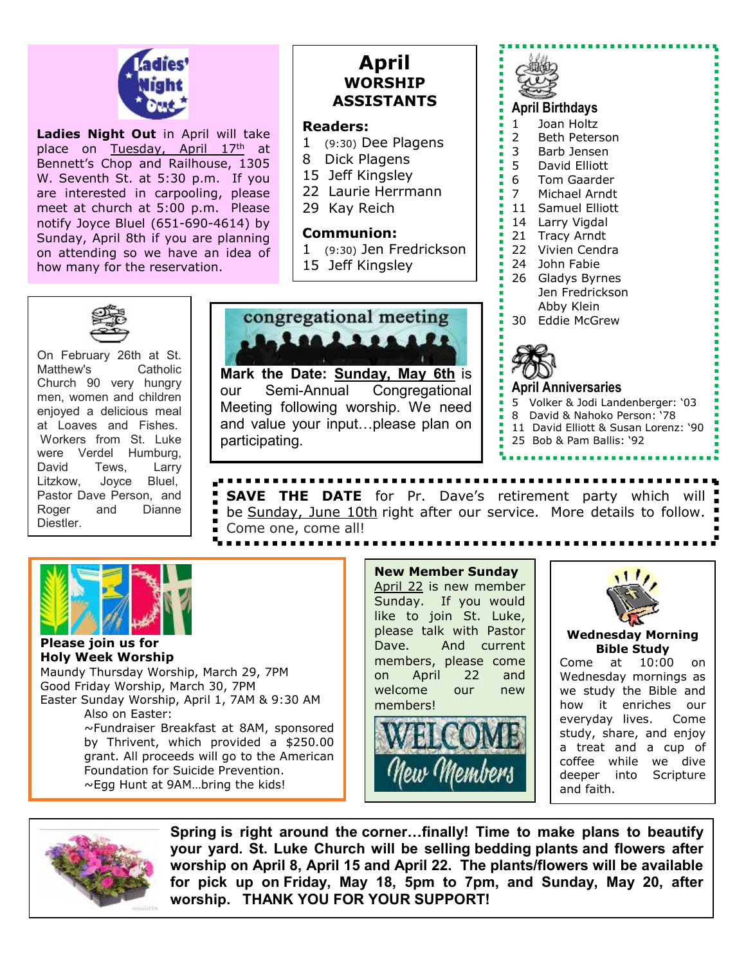

Ladies Night Out in April will take place on Tuesday, April 17th at Bennett's Chop and Railhouse, 1305 W. Seventh St. at 5:30 p.m. If you are interested in carpooling, please meet at church at 5:00 p.m. Please notify Joyce Bluel (651-690-4614) by Sunday, April 8th if you are planning on attending so we have an idea of how many for the reservation.

## April WORSHIP ASSISTANTS

#### Readers:

- 1 (9:30) Dee Plagens
- 8 Dick Plagens
- 15 Jeff Kingsley
- 22 Laurie Herrmann
- 29 Kay Reich

#### Communion:

- 1 (9:30) Jen Fredrickson
- 15 Jeff Kingsley



Mark the Date: Sunday, May 6th is our Semi-Annual Congregational Meeting following worship. We need and value your input…please plan on participating.



- 11 David Elliott & Susan Lorenz: '90
	- 25 Bob & Pam Ballis: '92



On February 26th at St. Matthew's Catholic Church 90 very hungry men, women and children enjoyed a delicious meal at Loaves and Fishes. Workers from St. Luke were Verdel Humburg, David Tews, Larry Litzkow, Joyce Bluel, Pastor Dave Person, and Roger and Dianne Diestler.

### **SAVE THE DATE** for Pr. Dave's retirement party which will be Sunday, June 10th right after our service. More details to follow. Come one, come all!



#### Please join us for Holy Week Worship

Maundy Thursday Worship, March 29, 7PM Good Friday Worship, March 30, 7PM Easter Sunday Worship, April 1, 7AM & 9:30 AM Also on Easter: ~Fundraiser Breakfast at 8AM, sponsored by Thrivent, which provided a \$250.00 grant. All proceeds will go to the American Foundation for Suicide Prevention. ~Egg Hunt at 9AM…bring the kids!

New Member Sunday April 22 is new member Sunday. If you would like to join St. Luke, please talk with Pastor Dave. And current members, please come on April 22 and welcome our new members!





#### Wednesday Morning Bible Study

Come at 10:00 on Wednesday mornings as we study the Bible and how it enriches our everyday lives. Come study, share, and enjoy a treat and a cup of coffee while we dive deeper into Scripture and faith.



2 Spring is right around the corner…finally! Time to make plans to beautify your yard. St. Luke Church will be selling bedding plants and flowers after worship on April 8, April 15 and April 22. The plants/flowers will be available for pick up on Friday, May 18, 5pm to 7pm, and Sunday, May 20, after worship. THANK YOU FOR YOUR SUPPORT!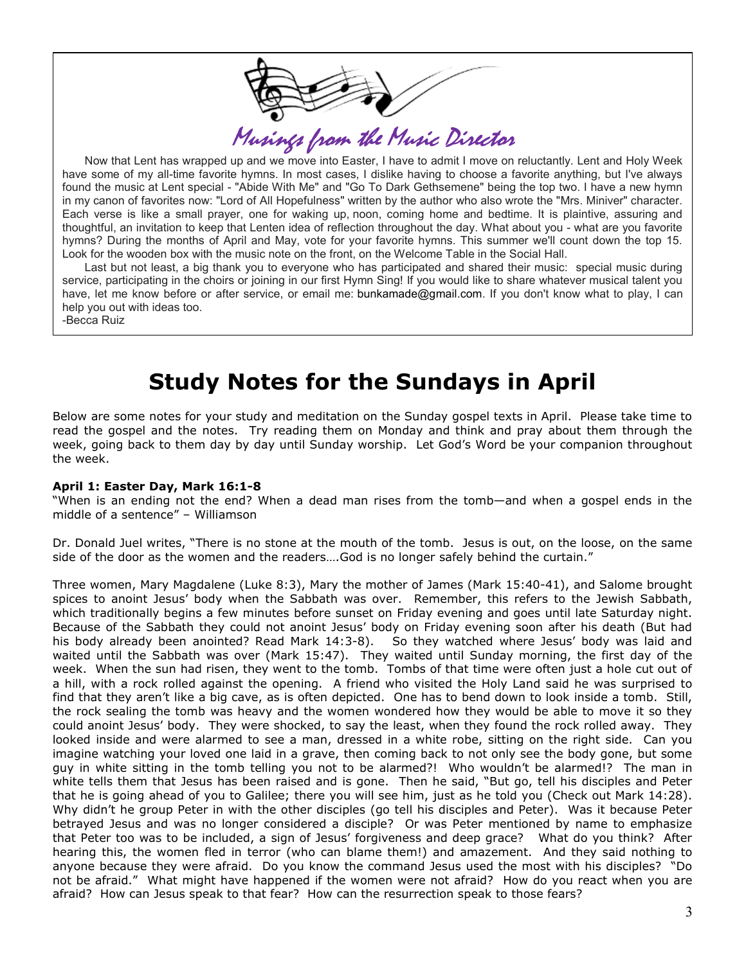

 Now that Lent has wrapped up and we move into Easter, I have to admit I move on reluctantly. Lent and Holy Week have some of my all-time favorite hymns. In most cases, I dislike having to choose a favorite anything, but I've always found the music at Lent special - "Abide With Me" and "Go To Dark Gethsemene" being the top two. I have a new hymn in my canon of favorites now: "Lord of All Hopefulness" written by the author who also wrote the "Mrs. Miniver" character. Each verse is like a small prayer, one for waking up, noon, coming home and bedtime. It is plaintive, assuring and thoughtful, an invitation to keep that Lenten idea of reflection throughout the day. What about you - what are you favorite hymns? During the months of April and May, vote for your favorite hymns. This summer we'll count down the top 15. Look for the wooden box with the music note on the front, on the Welcome Table in the Social Hall.

 Last but not least, a big thank you to everyone who has participated and shared their music: special music during service, participating in the choirs or joining in our first Hymn Sing! If you would like to share whatever musical talent you have, let me know before or after service, or email me: bunkamade@gmail.com. If you don't know what to play, I can help you out with ideas too. -Becca Ruiz

# Study Notes for the Sundays in April

Below are some notes for your study and meditation on the Sunday gospel texts in April. Please take time to read the gospel and the notes. Try reading them on Monday and think and pray about them through the week, going back to them day by day until Sunday worship. Let God's Word be your companion throughout the week.

#### April 1: Easter Day, Mark 16:1-8

"When is an ending not the end? When a dead man rises from the tomb—and when a gospel ends in the middle of a sentence" – Williamson

Dr. Donald Juel writes, "There is no stone at the mouth of the tomb. Jesus is out, on the loose, on the same side of the door as the women and the readers....God is no longer safely behind the curtain."

Three women, Mary Magdalene (Luke 8:3), Mary the mother of James (Mark 15:40-41), and Salome brought spices to anoint Jesus' body when the Sabbath was over. Remember, this refers to the Jewish Sabbath, which traditionally begins a few minutes before sunset on Friday evening and goes until late Saturday night. Because of the Sabbath they could not anoint Jesus' body on Friday evening soon after his death (But had his body already been anointed? Read Mark 14:3-8). So they watched where Jesus' body was laid and waited until the Sabbath was over (Mark 15:47). They waited until Sunday morning, the first day of the week. When the sun had risen, they went to the tomb. Tombs of that time were often just a hole cut out of a hill, with a rock rolled against the opening. A friend who visited the Holy Land said he was surprised to find that they aren't like a big cave, as is often depicted. One has to bend down to look inside a tomb. Still, the rock sealing the tomb was heavy and the women wondered how they would be able to move it so they could anoint Jesus' body. They were shocked, to say the least, when they found the rock rolled away. They looked inside and were alarmed to see a man, dressed in a white robe, sitting on the right side. Can you imagine watching your loved one laid in a grave, then coming back to not only see the body gone, but some guy in white sitting in the tomb telling you not to be alarmed?! Who wouldn't be alarmed!? The man in white tells them that Jesus has been raised and is gone. Then he said, "But go, tell his disciples and Peter that he is going ahead of you to Galilee; there you will see him, just as he told you (Check out Mark 14:28). Why didn't he group Peter in with the other disciples (go tell his disciples and Peter). Was it because Peter betrayed Jesus and was no longer considered a disciple? Or was Peter mentioned by name to emphasize that Peter too was to be included, a sign of Jesus' forgiveness and deep grace? What do you think? After hearing this, the women fled in terror (who can blame them!) and amazement. And they said nothing to anyone because they were afraid. Do you know the command Jesus used the most with his disciples? "Do not be afraid." What might have happened if the women were not afraid? How do you react when you are afraid? How can Jesus speak to that fear? How can the resurrection speak to those fears?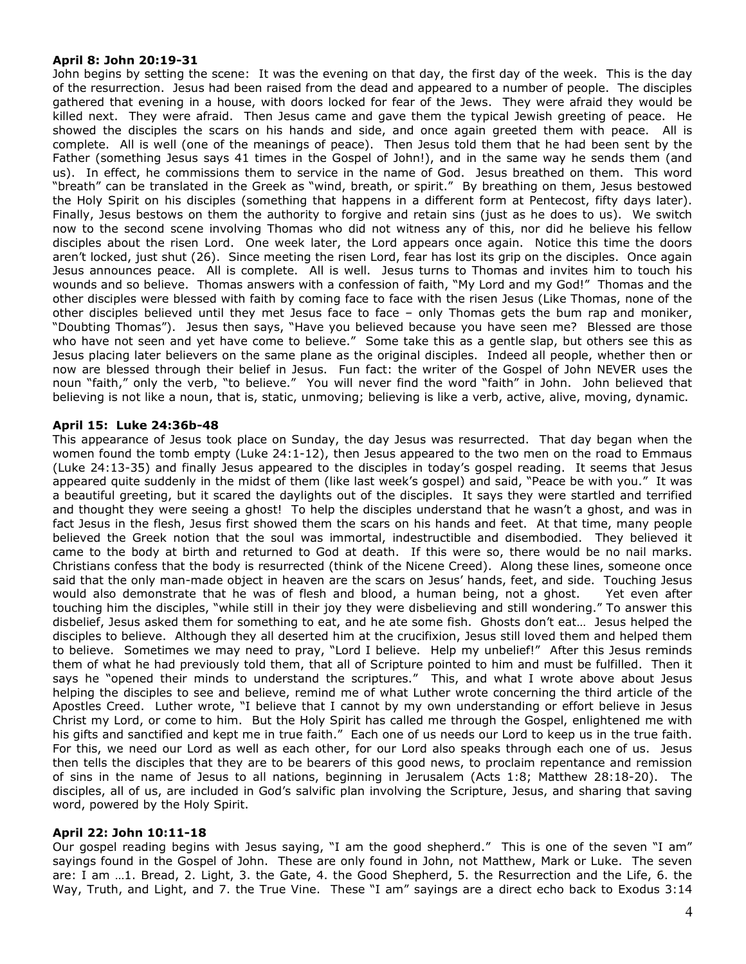#### April 8: John 20:19-31

John begins by setting the scene: It was the evening on that day, the first day of the week. This is the day of the resurrection. Jesus had been raised from the dead and appeared to a number of people. The disciples gathered that evening in a house, with doors locked for fear of the Jews. They were afraid they would be killed next. They were afraid. Then Jesus came and gave them the typical Jewish greeting of peace. He showed the disciples the scars on his hands and side, and once again greeted them with peace. All is complete. All is well (one of the meanings of peace). Then Jesus told them that he had been sent by the Father (something Jesus says 41 times in the Gospel of John!), and in the same way he sends them (and us). In effect, he commissions them to service in the name of God. Jesus breathed on them. This word "breath" can be translated in the Greek as "wind, breath, or spirit." By breathing on them, Jesus bestowed the Holy Spirit on his disciples (something that happens in a different form at Pentecost, fifty days later). Finally, Jesus bestows on them the authority to forgive and retain sins (just as he does to us). We switch now to the second scene involving Thomas who did not witness any of this, nor did he believe his fellow disciples about the risen Lord. One week later, the Lord appears once again. Notice this time the doors aren't locked, just shut (26). Since meeting the risen Lord, fear has lost its grip on the disciples. Once again Jesus announces peace. All is complete. All is well. Jesus turns to Thomas and invites him to touch his wounds and so believe. Thomas answers with a confession of faith, "My Lord and my God!" Thomas and the other disciples were blessed with faith by coming face to face with the risen Jesus (Like Thomas, none of the other disciples believed until they met Jesus face to face – only Thomas gets the bum rap and moniker, "Doubting Thomas"). Jesus then says, "Have you believed because you have seen me? Blessed are those who have not seen and yet have come to believe." Some take this as a gentle slap, but others see this as Jesus placing later believers on the same plane as the original disciples. Indeed all people, whether then or now are blessed through their belief in Jesus. Fun fact: the writer of the Gospel of John NEVER uses the noun "faith," only the verb, "to believe." You will never find the word "faith" in John. John believed that believing is not like a noun, that is, static, unmoving; believing is like a verb, active, alive, moving, dynamic.

#### April 15: Luke 24:36b-48

This appearance of Jesus took place on Sunday, the day Jesus was resurrected. That day began when the women found the tomb empty (Luke 24:1-12), then Jesus appeared to the two men on the road to Emmaus (Luke 24:13-35) and finally Jesus appeared to the disciples in today's gospel reading. It seems that Jesus appeared quite suddenly in the midst of them (like last week's gospel) and said, "Peace be with you." It was a beautiful greeting, but it scared the daylights out of the disciples. It says they were startled and terrified and thought they were seeing a ghost! To help the disciples understand that he wasn't a ghost, and was in fact Jesus in the flesh, Jesus first showed them the scars on his hands and feet. At that time, many people believed the Greek notion that the soul was immortal, indestructible and disembodied. They believed it came to the body at birth and returned to God at death. If this were so, there would be no nail marks. Christians confess that the body is resurrected (think of the Nicene Creed). Along these lines, someone once said that the only man-made object in heaven are the scars on Jesus' hands, feet, and side. Touching Jesus would also demonstrate that he was of flesh and blood, a human being, not a ghost. Yet even after touching him the disciples, "while still in their joy they were disbelieving and still wondering." To answer this disbelief, Jesus asked them for something to eat, and he ate some fish. Ghosts don't eat… Jesus helped the disciples to believe. Although they all deserted him at the crucifixion, Jesus still loved them and helped them to believe. Sometimes we may need to pray, "Lord I believe. Help my unbelief!" After this Jesus reminds them of what he had previously told them, that all of Scripture pointed to him and must be fulfilled. Then it says he "opened their minds to understand the scriptures." This, and what I wrote above about Jesus helping the disciples to see and believe, remind me of what Luther wrote concerning the third article of the Apostles Creed. Luther wrote, "I believe that I cannot by my own understanding or effort believe in Jesus Christ my Lord, or come to him. But the Holy Spirit has called me through the Gospel, enlightened me with his gifts and sanctified and kept me in true faith." Each one of us needs our Lord to keep us in the true faith. For this, we need our Lord as well as each other, for our Lord also speaks through each one of us. Jesus then tells the disciples that they are to be bearers of this good news, to proclaim repentance and remission of sins in the name of Jesus to all nations, beginning in Jerusalem (Acts 1:8; Matthew 28:18-20). The disciples, all of us, are included in God's salvific plan involving the Scripture, Jesus, and sharing that saving word, powered by the Holy Spirit.

#### April 22: John 10:11-18

Our gospel reading begins with Jesus saying, "I am the good shepherd." This is one of the seven "I am" sayings found in the Gospel of John. These are only found in John, not Matthew, Mark or Luke. The seven are: I am …1. Bread, 2. Light, 3. the Gate, 4. the Good Shepherd, 5. the Resurrection and the Life, 6. the Way, Truth, and Light, and 7. the True Vine. These "I am" sayings are a direct echo back to Exodus 3:14